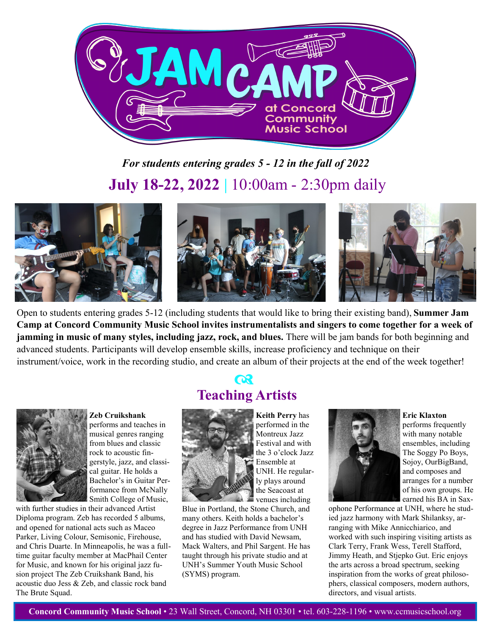

## *For students entering grades 5 - 12 in the fall of 2022* **July 18-22, 2022 |** 10:00am - 2:30pm daily



Open to students entering grades 5-12 (including students that would like to bring their existing band), **Summer Jam Camp at Concord Community Music School invites instrumentalists and singers to come together for a week of jamming in music of many styles, including jazz, rock, and blues.** There will be jam bands for both beginning and advanced students. Participants will develop ensemble skills, increase proficiency and technique on their instrument/voice, work in the recording studio, and create an album of their projects at the end of the week together!



### **Zeb Cruikshank**  performs and teaches in musical genres ranging from blues and classic rock to acoustic fingerstyle, jazz, and classical guitar. He holds a

Bachelor's in Guitar Performance from McNally Smith College of Music,

with further studies in their advanced Artist Diploma program. Zeb has recorded 5 albums, and opened for national acts such as Maceo Parker, Living Colour, Semisonic, Firehouse, and Chris Duarte. In Minneapolis, he was a fulltime guitar faculty member at MacPhail Center for Music, and known for his original jazz fusion project The Zeb Cruikshank Band, his acoustic duo Jess & Zeb, and classic rock band The Brute Squad.

## **Teaching Artists**  $\alpha$



**Keith Perry** has performed in the Montreux Jazz Festival and with the 3 o'clock Jazz Ensemble at UNH. He regularly plays around the Seacoast at venues including

Blue in Portland, the Stone Church, and many others. Keith holds a bachelor's degree in Jazz Performance from UNH and has studied with David Newsam, Mack Walters, and Phil Sargent. He has taught through his private studio and at UNH's Summer Youth Music School (SYMS) program.



**Eric Klaxton** performs frequently with many notable ensembles, including The Soggy Po Boys, Sojoy, OurBigBand, and composes and arranges for a number of his own groups. He earned his BA in Sax-

ophone Performance at UNH, where he studied jazz harmony with Mark Shilanksy, arranging with Mike Annicchiarico, and worked with such inspiring visiting artists as Clark Terry, Frank Wess, Terell Stafford, Jimmy Heath, and Stjepko Gut. Eric enjoys the arts across a broad spectrum, seeking inspiration from the works of great philosophers, classical composers, modern authors, directors, and visual artists.